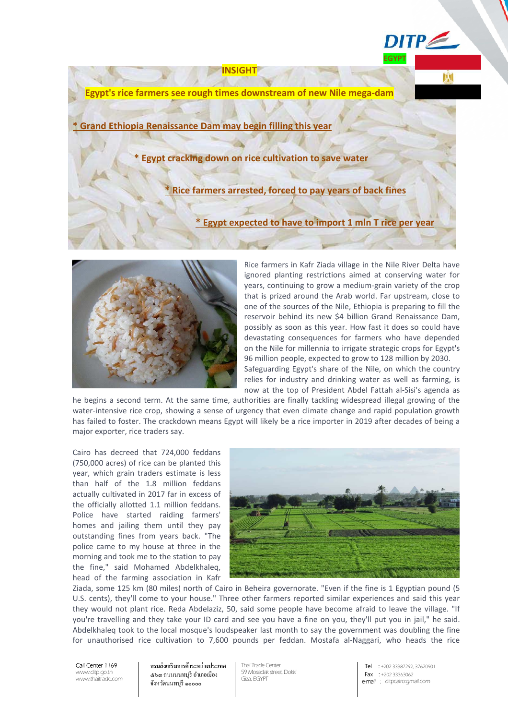**Egypt's rice farmers see rough times downstream of new Nile mega-dam** 

**INSIGHT** 

**\* Grand Ethiopia Renaissance Dam may begin filling this year**

**\* Egypt cracking down on rice cultivation to save water**

**\* Rice farmers arrested, forced to pay years of back fines**

**\* Egypt expected to have to import 1 mln T rice per year**



Rice farmers in Kafr Ziada village in the Nile River Delta have ignored planting restrictions aimed at conserving water for years, continuing to grow a medium-grain variety of the crop that is prized around the Arab world. Far upstream, close to one of the sources of the Nile, Ethiopia is preparing to fill the reservoir behind its new \$4 billion Grand Renaissance Dam, possibly as soon as this year. How fast it does so could have devastating consequences for farmers who have depended on the Nile for millennia to irrigate strategic crops for Egypt's 96 million people, expected to grow to 128 million by 2030. Safeguarding Egypt's share of the Nile, on which the country relies for industry and drinking water as well as farming, is now at the top of President Abdel Fattah al-Sisi's agenda as

**EGYPT** 

 $DITP \leq$ 

he begins a second term. At the same time, authorities are finally tackling widespread illegal growing of the water-intensive rice crop, showing a sense of urgency that even climate change and rapid population growth has failed to foster. The crackdown means Egypt will likely be a rice importer in 2019 after decades of being a major exporter, rice traders say.

Cairo has decreed that 724,000 feddans (750,000 acres) of rice can be planted this year, which grain traders estimate is less than half of the 1.8 million feddans actually cultivated in 2017 far in excess of the officially allotted 1.1 million feddans. Police have started raiding farmers' homes and jailing them until they pay outstanding fines from years back. "The police came to my house at three in the morning and took me to the station to pay the fine," said Mohamed Abdelkhaleq, head of the farming association in Kafr



Ziada, some 125 km (80 miles) north of Cairo in Beheira governorate. "Even if the fine is 1 Egyptian pound (5 U.S. cents), they'll come to your house." Three other farmers reported similar experiences and said this year they would not plant rice. Reda Abdelaziz, 50, said some people have become afraid to leave the village. "If you're travelling and they take your ID card and see you have a fine on you, they'll put you in jail," he said. Abdelkhaleq took to the local mosque's loudspeaker last month to say the government was doubling the fine for unauthorised rice cultivation to 7,600 pounds per feddan. Mostafa al-Naggari, who heads the rice

Call Center 1169 www.ditp.go.th www.thaitrade.com **กรมส่ งเสริมการค้าระหว่างประเทศ** ๕๖๓ ถนนนนทบุรี อําเภอเมือง จังหวัดนนทบุรี ๑๑๐๐๐

Thai Trade Center 59 Mosadak street, Dokki Giza, EGYPT

Tel : +202 33387292, 37620901 Fax:: +202 33363062 e-mail : ditpcairo:gmail.com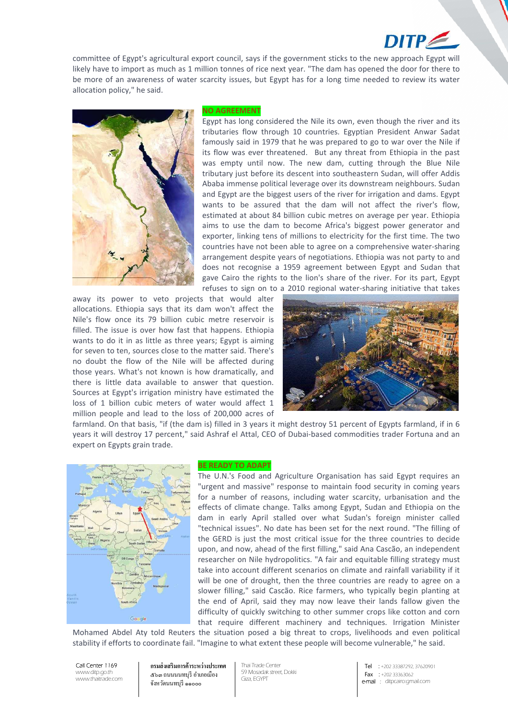# $DITP$

committee of Egypt's agricultural export council, says if the government sticks to the new approach Egypt will likely have to import as much as 1 million tonnes of rice next year. "The dam has opened the door for there to be more of an awareness of water scarcity issues, but Egypt has for a long time needed to review its water allocation policy," he said.



#### **NO AGREEMENT**

Egypt has long considered the Nile its own, even though the river and its tributaries flow through 10 countries. Egyptian President Anwar Sadat famously said in 1979 that he was prepared to go to war over the Nile if its flow was ever threatened. But any threat from Ethiopia in the past was empty until now. The new dam, cutting through the Blue Nile tributary just before its descent into southeastern Sudan, will offer Addis Ababa immense political leverage over its downstream neighbours. Sudan and Egypt are the biggest users of the river for irrigation and dams. Egypt wants to be assured that the dam will not affect the river's flow, estimated at about 84 billion cubic metres on average per year. Ethiopia aims to use the dam to become Africa's biggest power generator and exporter, linking tens of millions to electricity for the first time. The two countries have not been able to agree on a comprehensive water-sharing arrangement despite years of negotiations. Ethiopia was not party to and does not recognise a 1959 agreement between Egypt and Sudan that gave Cairo the rights to the lion's share of the river. For its part, Egypt refuses to sign on to a 2010 regional water-sharing initiative that takes

away its power to veto projects that would alter allocations. Ethiopia says that its dam won't affect the Nile's flow once its 79 billion cubic metre reservoir is filled. The issue is over how fast that happens. Ethiopia wants to do it in as little as three years; Egypt is aiming for seven to ten, sources close to the matter said. There's no doubt the flow of the Nile will be affected during those years. What's not known is how dramatically, and there is little data available to answer that question. Sources at Egypt's irrigation ministry have estimated the loss of 1 billion cubic meters of water would affect 1 million people and lead to the loss of 200,000 acres of



farmland. On that basis, "if (the dam is) filled in 3 years it might destroy 51 percent of Egypts farmland, if in 6 years it will destroy 17 percent," said Ashraf el Attal, CEO of Dubai-based commodities trader Fortuna and an expert on Egypts grain trade.



#### **BE READY TO ADAPT**

The U.N.'s Food and Agriculture Organisation has said Egypt requires an "urgent and massive" response to maintain food security in coming years for a number of reasons, including water scarcity, urbanisation and the effects of climate change. Talks among Egypt, Sudan and Ethiopia on the dam in early April stalled over what Sudan's foreign minister called "technical issues". No date has been set for the next round. "The filling of the GERD is just the most critical issue for the three countries to decide upon, and now, ahead of the first filling," said Ana Cascão, an independent researcher on Nile hydropolitics. "A fair and equitable filling strategy must take into account different scenarios on climate and rainfall variability if it will be one of drought, then the three countries are ready to agree on a slower filling," said Cascão. Rice farmers, who typically begin planting at the end of April, said they may now leave their lands fallow given the difficulty of quickly switching to other summer crops like cotton and corn that require different machinery and techniques. Irrigation Minister

Mohamed Abdel Aty told Reuters the situation posed a big threat to crops, livelihoods and even political stability if efforts to coordinate fail. "Imagine to what extent these people will become vulnerable," he said.

Call Center 1169 www.ditp.go.th www.thaitrade.com **กรมส่ งเสริมการค้าระหว่างประเทศ** ๕๖๓ ถนนนนทบุรี อําเภอเมือง จังหวัดนนทบุรี ๑๑๐๐๐

Thai Trade Center 59 Mosadak street, Dokki Giza, EGYPT

Tel : +202 33387292, 37620901 Fax : +202 33363062 e-mail : ditpcairo:gmail.com